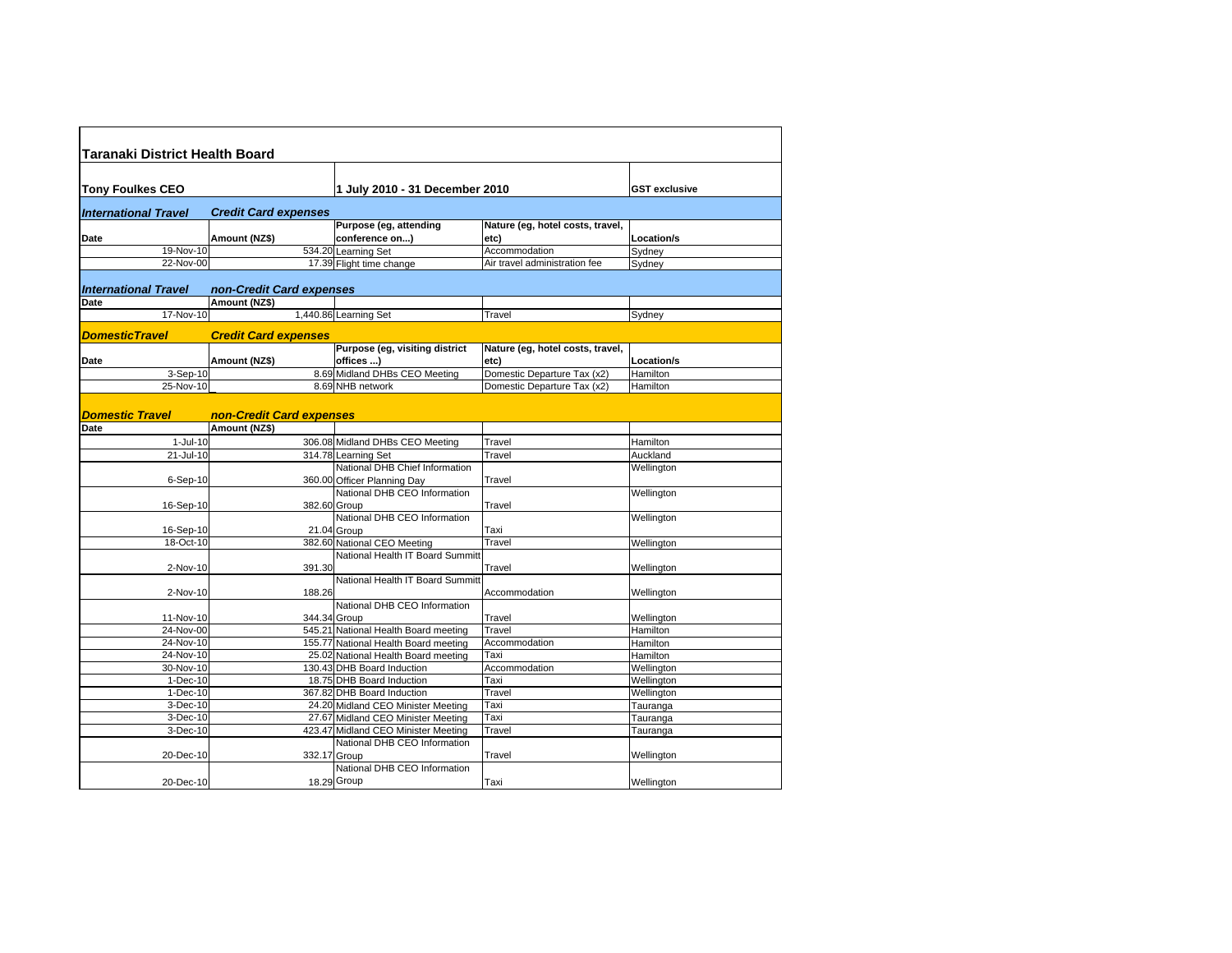| Taranaki District Health Board |                             |                                                                           |                                  |                      |
|--------------------------------|-----------------------------|---------------------------------------------------------------------------|----------------------------------|----------------------|
|                                |                             |                                                                           |                                  |                      |
| <b>Tony Foulkes CEO</b>        |                             | 1 July 2010 - 31 December 2010                                            |                                  | <b>GST</b> exclusive |
|                                |                             |                                                                           |                                  |                      |
| <b>International Travel</b>    | <b>Credit Card expenses</b> | Purpose (eg, attending                                                    | Nature (eg, hotel costs, travel, |                      |
| Date                           | Amount (NZ\$)               | conference on)                                                            | etc)                             | Location/s           |
| 19-Nov-10                      |                             | 534.20 Learning Set                                                       | Accommodation                    | Sydney               |
| 22-Nov-00                      |                             | 17.39 Flight time change                                                  | Air travel administration fee    | Sydney               |
|                                |                             |                                                                           |                                  |                      |
| <b>International Travel</b>    | non-Credit Card expenses    |                                                                           |                                  |                      |
| Date                           | Amount (NZ\$)               |                                                                           |                                  |                      |
| 17-Nov-10                      |                             | 1,440.86 Learning Set                                                     | Travel                           | Sydney               |
| <b>DomesticTravel</b>          | <b>Credit Card expenses</b> |                                                                           |                                  |                      |
|                                |                             | Purpose (eg, visiting district                                            | Nature (eg, hotel costs, travel, |                      |
| Date                           | Amount (NZ\$)               | offices )                                                                 | etc)                             | Location/s           |
| $3-$ Sep-10                    |                             | 8.69 Midland DHBs CEO Meeting                                             | Domestic Departure Tax (x2)      | Hamilton             |
| 25-Nov-10                      |                             | 8.69 NHB network                                                          | Domestic Departure Tax (x2)      | Hamilton             |
| <b>Domestic Travel</b>         | non-Credit Card expenses    |                                                                           |                                  |                      |
| Date                           | Amount (NZ\$)               |                                                                           |                                  |                      |
| $1-Jul-10$                     |                             | 306.08 Midland DHBs CEO Meeting                                           | Travel                           | Hamilton             |
| 21-Jul-10                      |                             | 314.78 Learning Set                                                       | Travel                           | Auckland             |
|                                |                             | National DHB Chief Information                                            |                                  | Wellington           |
| $6-Sep-10$                     |                             | 360.00 Officer Planning Day                                               | Travel                           |                      |
|                                |                             | National DHB CEO Information                                              |                                  | Wellington           |
| 16-Sep-10                      |                             | 382.60 Group                                                              | Travel                           |                      |
|                                |                             | National DHB CEO Information                                              |                                  | Wellington           |
| 16-Sep-10<br>18-Oct-10         |                             | 21.04 Group<br>382.60 National CEO Meeting                                | Taxi<br>Travel                   |                      |
|                                |                             | National Health IT Board Summitt                                          |                                  | Wellington           |
| 2-Nov-10                       | 391.30                      |                                                                           | Travel                           | Wellington           |
|                                |                             | National Health IT Board Summitt                                          |                                  |                      |
| 2-Nov-10                       | 188.26                      |                                                                           | Accommodation                    | Wellington           |
|                                |                             | National DHB CEO Information                                              |                                  |                      |
| 11-Nov-10                      |                             | 344.34 Group                                                              | Travel                           | Wellington           |
| 24-Nov-00                      |                             | 545.21 National Health Board meeting                                      | Travel                           | Hamilton             |
| 24-Nov-10                      |                             | 155.77 National Health Board meeting                                      | Accommodation                    | Hamilton             |
| 24-Nov-10                      |                             | 25.02 National Health Board meeting                                       | Taxi                             | Hamilton             |
| 30-Nov-10                      |                             | 130.43 DHB Board Induction                                                | Accommodation                    | Wellington           |
| $T-Dec-10$                     |                             | 18.75 DHB Board Induction                                                 | Taxi                             | Wellington           |
| 1-Dec-10                       |                             | 367.82 DHB Board Induction                                                | Travel                           | Wellington           |
| 3-Dec-10<br>$3-Dec-10$         |                             | 24.20 Midland CEO Minister Meeting                                        | Taxi<br>Taxi                     | Tauranga             |
| 3-Dec-10                       |                             | 27.67 Midland CEO Minister Meeting<br>423.47 Midland CEO Minister Meeting | Travel                           | Tauranga             |
|                                |                             | National DHB CEO Information                                              |                                  | Tauranga             |
| 20-Dec-10                      |                             | 332.17 Group                                                              | Travel                           | Wellington           |
|                                |                             | National DHB CEO Information                                              |                                  |                      |
| 20-Dec-10                      |                             | 18.29 Group                                                               | Taxi                             | Wellington           |
|                                |                             |                                                                           |                                  |                      |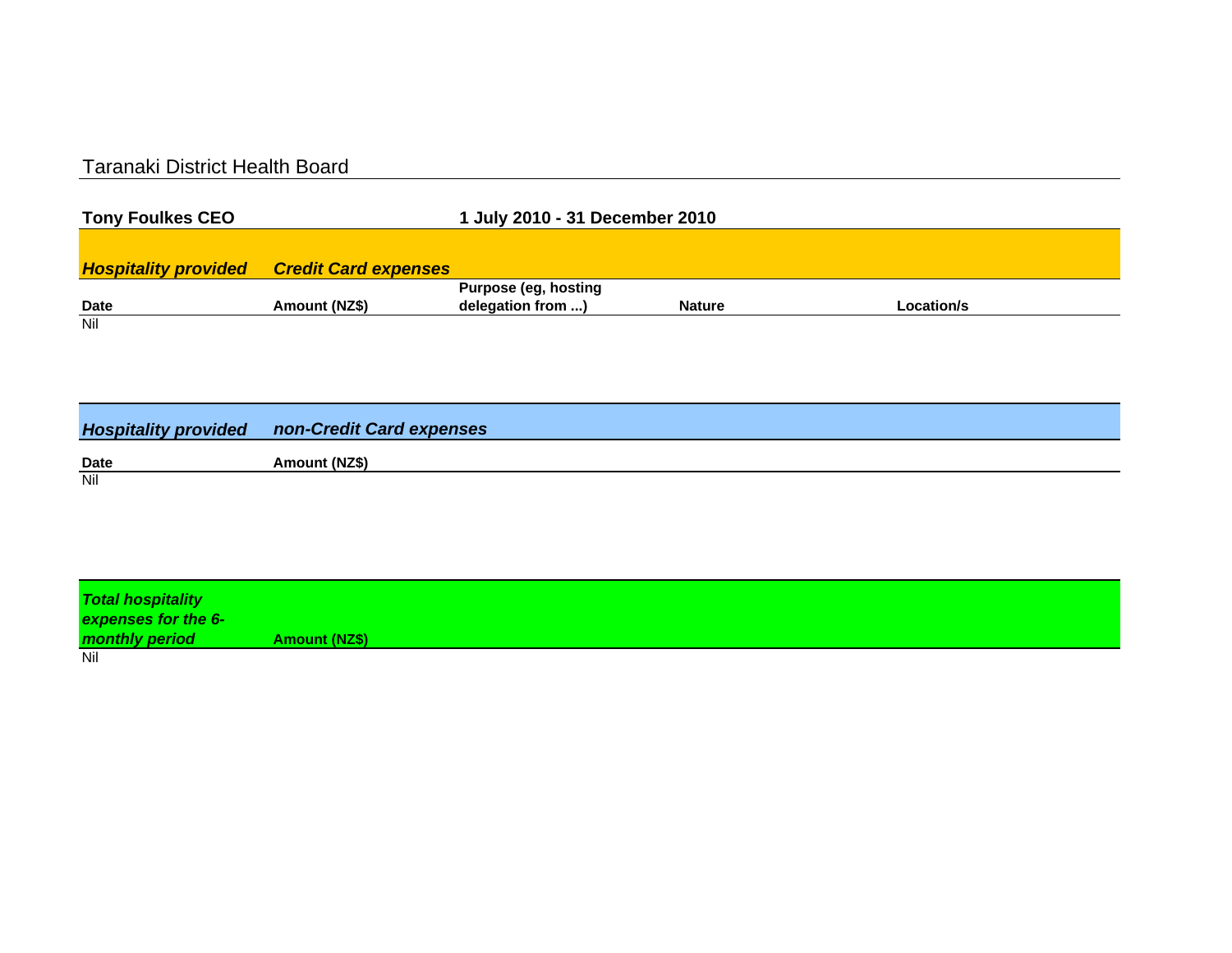## Taranaki District Health Board

| <b>Tony Foulkes CEO</b> |                                                  | 1 July 2010 - 31 December 2010 |               |            |  |
|-------------------------|--------------------------------------------------|--------------------------------|---------------|------------|--|
|                         |                                                  |                                |               |            |  |
|                         | <b>Hospitality provided Credit Card expenses</b> |                                |               |            |  |
|                         |                                                  | <b>Purpose (eg, hosting</b>    |               |            |  |
| <b>Date</b>             | Amount (NZ\$)                                    | delegation from )              | <b>Nature</b> | Location/s |  |
| Nil                     |                                                  |                                |               |            |  |

|             | <b>Hospitality provided non-Credit Card expenses</b> |
|-------------|------------------------------------------------------|
| <b>Date</b> | Amount (NZ\$)                                        |
| Nil         |                                                      |

| <b>Total hospitality</b><br>expenses for the 6- |                      |
|-------------------------------------------------|----------------------|
| monthly period                                  | <b>Amount (NZ\$)</b> |
| Nil                                             |                      |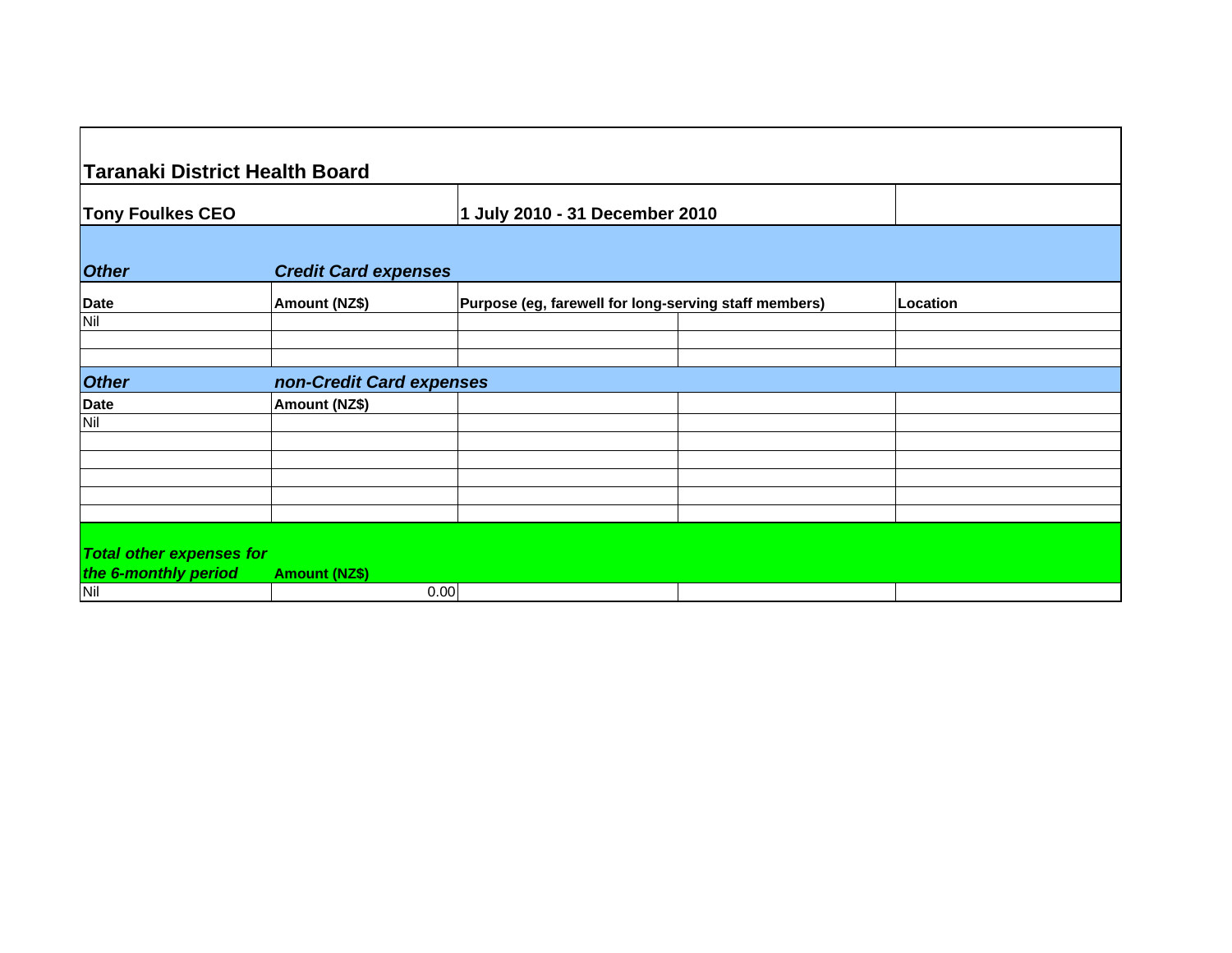| <b>Taranaki District Health Board</b> |                             |                                                       |          |
|---------------------------------------|-----------------------------|-------------------------------------------------------|----------|
| <b>Tony Foulkes CEO</b>               |                             | 1 July 2010 - 31 December 2010                        |          |
| <b>Other</b>                          | <b>Credit Card expenses</b> |                                                       |          |
| Date                                  | Amount (NZ\$)               | Purpose (eg, farewell for long-serving staff members) | Location |
| Nil                                   |                             |                                                       |          |
|                                       |                             |                                                       |          |
| <b>Other</b>                          | non-Credit Card expenses    |                                                       |          |
| <b>Date</b>                           | Amount (NZ\$)               |                                                       |          |
| Nil                                   |                             |                                                       |          |
|                                       |                             |                                                       |          |
|                                       |                             |                                                       |          |
|                                       |                             |                                                       |          |
|                                       |                             |                                                       |          |
| <b>Total other expenses for</b>       |                             |                                                       |          |
| the 6-monthly period                  | <b>Amount (NZ\$)</b>        |                                                       |          |
| Nil                                   |                             | 0.00                                                  |          |